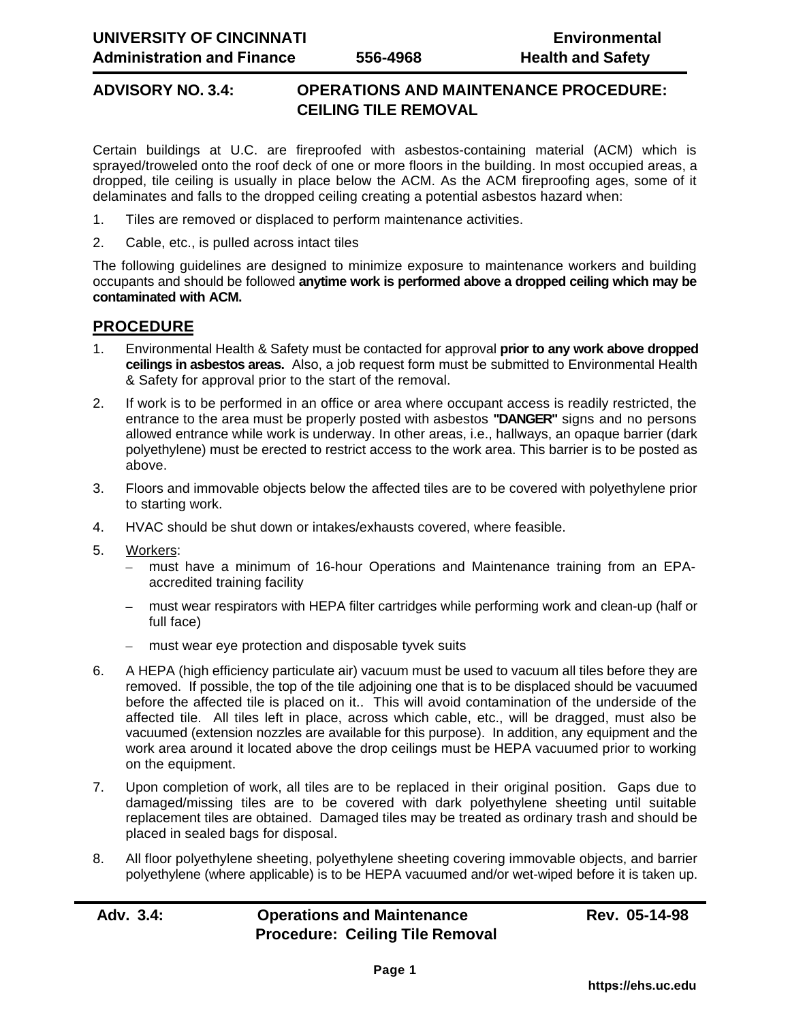## **ADVISORY NO. 3.4: OPERATIONS AND MAINTENANCE PROCEDURE: CEILING TILE REMOVAL**

Certain buildings at U.C. are fireproofed with asbestos-containing material (ACM) which is sprayed/troweled onto the roof deck of one or more floors in the building. In most occupied areas, a dropped, tile ceiling is usually in place below the ACM. As the ACM fireproofing ages, some of it delaminates and falls to the dropped ceiling creating a potential asbestos hazard when:

- 1. Tiles are removed or displaced to perform maintenance activities.
- 2. Cable, etc., is pulled across intact tiles

The following guidelines are designed to minimize exposure to maintenance workers and building occupants and should be followed **anytime work is performed above a dropped ceiling which may be contaminated with ACM.**

## **PROCEDURE**

- 1. Environmental Health & Safety must be contacted for approval **prior to any work above dropped ceilings in asbestos areas.** Also, a job request form must be submitted to Environmental Health & Safety for approval prior to the start of the removal.
- 2. If work is to be performed in an office or area where occupant access is readily restricted, the entrance to the area must be properly posted with asbestos **"DANGER"** signs and no persons allowed entrance while work is underway. In other areas, i.e., hallways, an opaque barrier (dark polyethylene) must be erected to restrict access to the work area. This barrier is to be posted as above.
- 3. Floors and immovable objects below the affected tiles are to be covered with polyethylene prior to starting work.
- 4. HVAC should be shut down or intakes/exhausts covered, where feasible.
- 5. Workers:
	- must have a minimum of 16-hour Operations and Maintenance training from an EPAaccredited training facility
	- must wear respirators with HEPA filter cartridges while performing work and clean-up (half or full face)
	- must wear eye protection and disposable tyvek suits
- 6. A HEPA (high efficiency particulate air) vacuum must be used to vacuum all tiles before they are removed. If possible, the top of the tile adjoining one that is to be displaced should be vacuumed before the affected tile is placed on it.. This will avoid contamination of the underside of the affected tile. All tiles left in place, across which cable, etc., will be dragged, must also be vacuumed (extension nozzles are available for this purpose). In addition, any equipment and the work area around it located above the drop ceilings must be HEPA vacuumed prior to working on the equipment.
- 7. Upon completion of work, all tiles are to be replaced in their original position. Gaps due to damaged/missing tiles are to be covered with dark polyethylene sheeting until suitable replacement tiles are obtained. Damaged tiles may be treated as ordinary trash and should be placed in sealed bags for disposal.
- 8. All floor polyethylene sheeting, polyethylene sheeting covering immovable objects, and barrier polyethylene (where applicable) is to be HEPA vacuumed and/or wet-wiped before it is taken up.